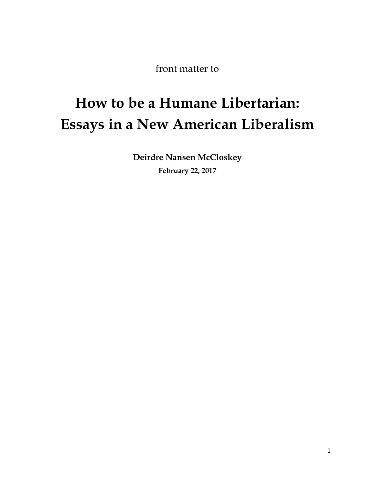front matter to

# **How to be a Humane Libertarian: Essays in a New American Liberalism**

**Deirdre Nansen McCloskey February 22, 2017**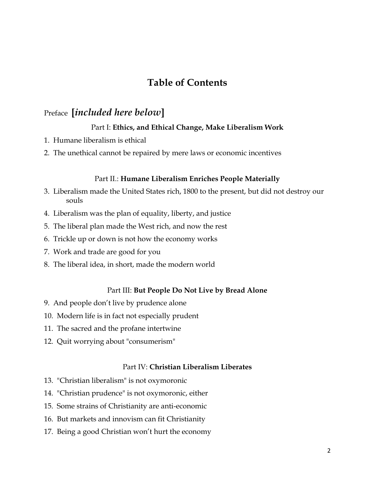# **Table of Contents**

## Preface **[***included here below***]**

## Part I: **Ethics, and Ethical Change, Make Liberalism Work**

- 1. Humane liberalism is ethical
- 2. The unethical cannot be repaired by mere laws or economic incentives

### Part II.: **Humane Liberalism Enriches People Materially**

- 3. Liberalism made the United States rich, 1800 to the present, but did not destroy our souls
- 4. Liberalism was the plan of equality, liberty, and justice
- 5. The liberal plan made the West rich, and now the rest
- 6. Trickle up or down is not how the economy works
- 7. Work and trade are good for you
- 8. The liberal idea, in short, made the modern world

#### Part III: **But People Do Not Live by Bread Alone**

- 9. And people don't live by prudence alone
- 10. Modern life is in fact not especially prudent
- 11. The sacred and the profane intertwine
- 12. Quit worrying about "consumerism"

## Part IV: **Christian Liberalism Liberates**

- 13. "Christian liberalism" is not oxymoronic
- 14. "Christian prudence" is not oxymoronic, either
- 15. Some strains of Christianity are anti-economic
- 16. But markets and innovism can fit Christianity
- 17. Being a good Christian won't hurt the economy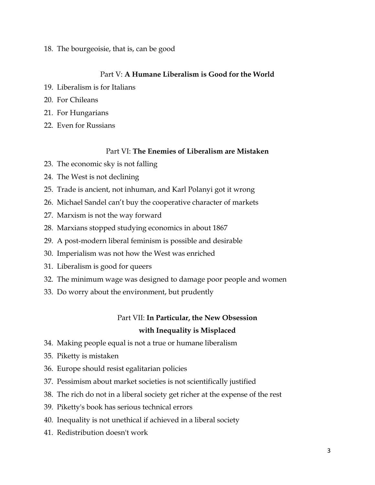18. The bourgeoisie, that is, can be good

## Part V: **A Humane Liberalism is Good for the World**

- 19. Liberalism is for Italians
- 20. For Chileans
- 21. For Hungarians
- 22. Even for Russians

## Part VI: **The Enemies of Liberalism are Mistaken**

- 23. The economic sky is not falling
- 24. The West is not declining
- 25. Trade is ancient, not inhuman, and Karl Polanyi got it wrong
- 26. Michael Sandel can't buy the cooperative character of markets
- 27. Marxism is not the way forward
- 28. Marxians stopped studying economics in about 1867
- 29. A post-modern liberal feminism is possible and desirable
- 30. Imperialism was not how the West was enriched
- 31. Liberalism is good for queers
- 32. The minimum wage was designed to damage poor people and women
- 33. Do worry about the environment, but prudently

# Part VII: **In Particular, the New Obsession with Inequality is Misplaced**

- 34. Making people equal is not a true or humane liberalism
- 35. Piketty is mistaken
- 36. Europe should resist egalitarian policies
- 37. Pessimism about market societies is not scientifically justified
- 38. The rich do not in a liberal society get richer at the expense of the rest
- 39. Piketty's book has serious technical errors
- 40. Inequality is not unethical if achieved in a liberal society
- 41. Redistribution doesn't work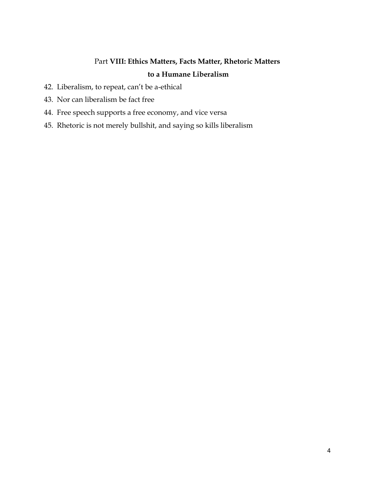# Part **VIII: Ethics Matters, Facts Matter, Rhetoric Matters to a Humane Liberalism**

- 42. Liberalism, to repeat, can't be a-ethical
- 43. Nor can liberalism be fact free
- 44. Free speech supports a free economy, and vice versa
- 45. Rhetoric is not merely bullshit, and saying so kills liberalism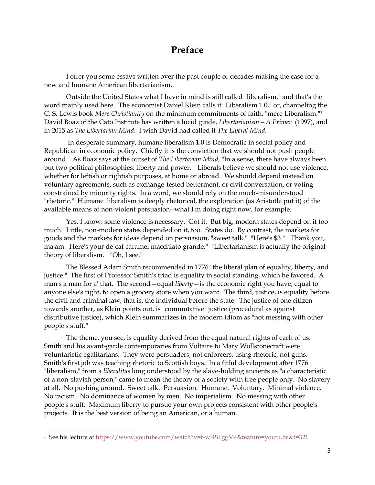# **Preface**

I offer you some essays written over the past couple of decades making the case for a new and humane American libertarianism.

Outside the United States what I have in mind is still called "liberalism," and that's the word mainly used here. The economist Daniel Klein calls it "Liberalism 1.0," or, channeling the C. S. Lewis book *Mere Christianity* on the minimum commitments of faith, "mere Liberalism."<sup>1</sup> David Boaz of the Cato Institute has written a lucid guide, *Libertarianism—A Primer* (1997), and in 2015 as *The Libertarian Mind*. I wish David had called it *The Liberal Mind.* 

In desperate summary, humane liberalism 1.0 is Democratic in social policy and Republican in economic policy. Chiefly it is the conviction that we should not push people around. As Boaz says at the outset of *The Libertarian Mind,* "In a sense, there have always been but two political philosophies: liberty and power." Liberals believe we should not use violence, whether for leftish or rightish purposes, at home or abroad. We should depend instead on voluntary agreements, such as exchange-tested betterment, or civil conversation, or voting constrained by minority rights. In a word, we should rely on the much-misunderstood "rhetoric." Humane liberalism is deeply rhetorical, the exploration (as Aristotle put it) of the available means of non-violent persuasion--what I'm doing right now, for example.

Yes, I know: some violence is necessary. Got it. But big, modern states depend on it too much. Little, non-modern states depended on it, too. States do. By contrast, the markets for goods and the markets for ideas depend on persuasion, "sweet talk." "Here's \$3." "Thank you, ma'am. Here's your de-caf caramel macchiato grande." "Libertarianism is actually the original theory of liberalism." "Oh, I see."

The Blessed Adam Smith recommended in 1776 "the liberal plan of equality, liberty, and justice." The first of Professor Smith's triad is equality in social standing, which he favored. A man's a man for a' that. The second—equal *liberty*—is the economic right you have, equal to anyone else's right, to open a grocery store when you want. The third, justice, is equality before the civil and criminal law, that is, the individual before the state. The justice of one citizen towards another, as Klein points out, is "commutative" justice (procedural as against distributive justice), which Klein summarizes in the modern idiom as "not messing with other people's stuff."

The theme, you see, is equality derived from the equal natural rights of each of us. Smith and his avant-garde contemporaries from Voltaire to Mary Wollstonecraft were voluntaristic egalitarians. They were persuaders, not enforcers, using rhetoric, not guns. Smith's first job was teaching rhetoric to Scottish boys. In a fitful development after 1776 "liberalism," from a *liberalitas* long understood by the slave-holding ancients as "a characteristic of a non-slavish person," came to mean the theory of a society with free people only. No slavery at all. No pushing around. Sweet talk. Persuasion. Humane. Voluntary. Minimal violence. No racism. No dominance of women by men. No imperialism. No messing with other people's stuff. Maximum liberty to pursue your own projects consistent with other people's projects. It is the best version of being an American, or a human.

l

<sup>1</sup> See his lecture at<https://www.youtube.com/watch?v=f-wl4SFggM4&feature=youtu.be&t=321>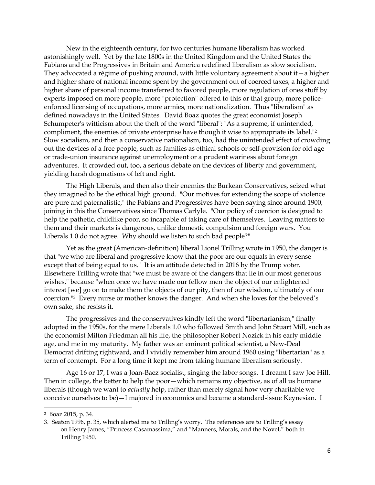New in the eighteenth century, for two centuries humane liberalism has worked astonishingly well. Yet by the late 1800s in the United Kingdom and the United States the Fabians and the Progressives in Britain and America redefined liberalism as slow socialism. They advocated a régime of pushing around, with little voluntary agreement about it—a higher and higher share of national income spent by the government out of coerced taxes, a higher and higher share of personal income transferred to favored people, more regulation of ones stuff by experts imposed on more people, more "protection" offered to this or that group, more policeenforced licensing of occupations, more armies, more nationalization. Thus "liberalism" as defined nowadays in the United States. David Boaz quotes the great economist Joseph Schumpeter's witticism about the theft of the word "liberal": "As a supreme, if unintended, compliment, the enemies of private enterprise have though it wise to appropriate its label."<sup>2</sup> Slow socialism, and then a conservative nationalism, too, had the unintended effect of crowding out the devices of a free people, such as families as ethical schools or self-provision for old age or trade-union insurance against unemployment or a prudent wariness about foreign adventures. It crowded out, too, a serious debate on the devices of liberty and government, yielding harsh dogmatisms of left and right.

The High Liberals, and then also their enemies the Burkean Conservatives, seized what they imagined to be the ethical high ground. "Our motives for extending the scope of violence are pure and paternalistic," the Fabians and Progressives have been saying since around 1900, joining in this the Conservatives since Thomas Carlyle. "Our policy of coercion is designed to help the pathetic, childlike poor, so incapable of taking care of themselves. Leaving matters to them and their markets is dangerous, unlike domestic compulsion and foreign wars. You Liberals 1.0 do not agree. Why should we listen to such bad people?"

Yet as the great (American-definition) liberal Lionel Trilling wrote in 1950, the danger is that "we who are liberal and progressive know that the poor are our equals in every sense except that of being equal to us." It is an attitude detected in 2016 by the Trump voter. Elsewhere Trilling wrote that "we must be aware of the dangers that lie in our most generous wishes," because "when once we have made our fellow men the object of our enlightened interest [we] go on to make them the objects of our pity, then of our wisdom, ultimately of our coercion."<sup>3</sup> Every nurse or mother knows the danger. And when she loves for the beloved's own sake, she resists it.

The progressives and the conservatives kindly left the word "libertarianism," finally adopted in the 1950s, for the mere Liberals 1.0 who followed Smith and John Stuart Mill, such as the economist Milton Friedman all his life, the philosopher Robert Nozick in his early middle age, and me in my maturity. My father was an eminent political scientist, a New-Deal Democrat drifting rightward, and I vividly remember him around 1960 using "libertarian" as a term of contempt. For a long time it kept me from taking humane liberalism seriously.

Age 16 or 17, I was a Joan-Baez socialist, singing the labor songs. I dreamt I saw Joe Hill. Then in college, the better to help the poor—which remains my objective, as of all us humane liberals (though we want to *actually* help, rather than merely signal how very charitable we conceive ourselves to be)—I majored in economics and became a standard-issue Keynesian. I

 $\overline{\phantom{a}}$ 

<sup>2</sup> Boaz 2015, p. 34.

<sup>3.</sup> Seaton 1996, p. 35, which alerted me to Trilling's worry. The references are to Trilling's essay on Henry James, "Princess Casamassima," and "Manners, Morals, and the Novel," both in Trilling 1950.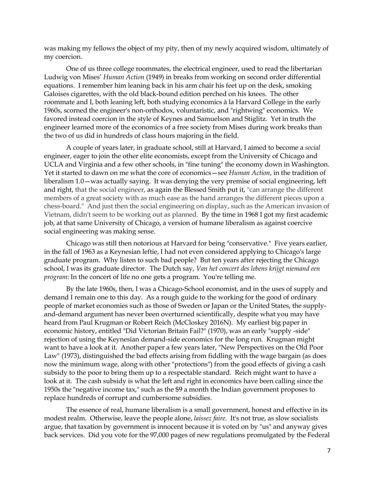was making my fellows the object of my pity, then of my newly acquired wisdom, ultimately of my coercion.

One of us three college roommates, the electrical engineer, used to read the libertarian Ludwig von Mises' *Human Action* (1949) in breaks from working on second order differential equations. I remember him leaning back in his arm chair his feet up on the desk, smoking Galoises cigarettes, with the old black-bound edition perched on his knees. The other roommate and I, both leaning left, both studying economics à la Harvard College in the early 1960s, scorned the engineer's non-orthodox, voluntaristic, and "rightwing" economics. We favored instead coercion in the style of Keynes and Samuelson and Stiglitz. Yet in truth the engineer learned more of the economics of a free society from Mises during work breaks than the two of us did in hundreds of class hours majoring in the field.

A couple of years later, in graduate school, still at Harvard, I aimed to become a *social* engineer, eager to join the other elite economists, except from the University of Chicago and UCLA and Virginia and a few other schools, in "fine tuning" the economy down in Washington. Yet it started to dawn on me what the core of economics—see *Human Action*, in the tradition of liberalism 1.0—was actually saying. It was denying the very premise of social engineering, left and right, that the social engineer, as again the Blessed Smith put it, "can arrange the different members of a great society with as much ease as the hand arranges the different pieces upon a chess-board." And just then the social engineering on display, such as the American invasion of Vietnam, didn't seem to be working out as planned. By the time in 1968 I got my first academic job, at that same University of Chicago, a version of humane liberalism as against coercive social engineering was making sense.

Chicago was still then notorious at Harvard for being "conservative." Five years earlier, in the fall of 1963 as a Keynesian leftie, I had not even considered applying to Chicago's large graduate program. Why listen to such bad people? But ten years after rejecting the Chicago school, I was its graduate director. The Dutch say, *Van het concert des lebens krijgt niemand een program*: In the concert of life no one gets a program. You're telling me.

By the late 1960s, then, I was a Chicago-School economist, and in the uses of supply and demand I remain one to this day. As a rough guide to the working for the good of ordinary people of market economies such as those of Sweden or Japan or the United States, the supplyand-demand argument has never been overturned scientifically, despite what you may have heard from Paul Krugman or Robert Reich (McCloskey 2016N). My earliest big paper in economic history, entitled "Did Victorian Britain Fail?" (1970), was an early "supply -side" rejection of using the Keynesian demand-side economics for the long run. Krugman might want to have a look at it. Another paper a few years later, "New Perspectives on the Old Poor Law" (1973), distinguished the bad effects arising from fiddling with the wage bargain (as does now the minimum wage, along with other "protections") from the good effects of giving a cash subsidy to the poor to bring them up to a respectable standard. Reich might want to have a look at it. The cash subsidy is what the left and right in economics have been calling since the 1950s the "negative income tax," such as the \$9 a month the Indian government proposes to replace hundreds of corrupt and cumbersome subsidies.

The essence of real, humane liberalism is a small government, honest and effective in its modest realm. Otherwise, leave the people alone, *laissez faire*. It's not true, as slow socialists argue, that taxation by government is innocent because it is voted on by "us" and anyway gives back services. Did you vote for the 97,000 pages of new regulations promulgated by the Federal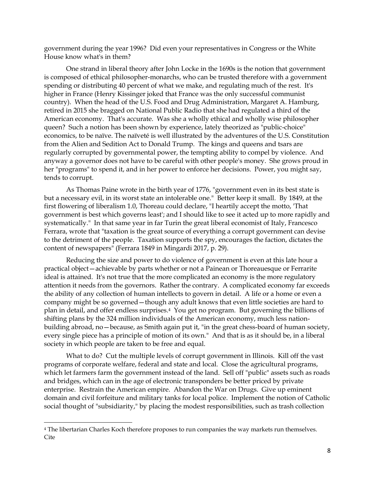government during the year 1996? Did even your representatives in Congress or the White House know what's in them?

One strand in liberal theory after John Locke in the 1690s is the notion that government is composed of ethical philosopher-monarchs, who can be trusted therefore with a government spending or distributing 40 percent of what we make, and regulating much of the rest. It's higher in France (Henry Kissinger joked that France was the only successful communist country). When the head of the U.S. Food and Drug Administration, Margaret A. Hamburg, retired in 2015 she bragged on National Public Radio that she had regulated a third of the American economy. That's accurate. Was she a wholly ethical and wholly wise philosopher queen? Such a notion has been shown by experience, lately theorized as "public-choice" economics, to be naïve. The naïveté is well illustrated by the adventures of the U.S. Constitution from the Alien and Sedition Act to Donald Trump. The kings and queens and tsars are regularly corrupted by governmental power, the tempting ability to compel by violence. And anyway a governor does not have to be careful with other people's money. She grows proud in her "programs" to spend it, and in her power to enforce her decisions. Power, you might say, tends to corrupt.

As Thomas Paine wrote in the birth year of 1776, "government even in its best state is but a necessary evil, in its worst state an intolerable one." Better keep it small. By 1849, at the first flowering of liberalism 1.0, Thoreau could declare, "I heartily accept the motto, 'That government is best which governs least'; and I should like to see it acted up to more rapidly and systematically." In that same year in far Turin the great liberal economist of Italy, Francesco Ferrara, wrote that "taxation is the great source of everything a corrupt government can devise to the detriment of the people. Taxation supports the spy, encourages the faction, dictates the content of newspapers" (Ferrara 1849 in Mingardi 2017, p. 29).

Reducing the size and power to do violence of government is even at this late hour a practical object—achievable by parts whether or not a Painean or Thoreauesque or Ferrarite ideal is attained. It's not true that the more complicated an economy is the more regulatory attention it needs from the governors. Rather the contrary. A complicated economy far exceeds the ability of any collection of human intellects to govern in detail. A life or a home or even a company might be so governed—though any adult knows that even little societies are hard to plan in detail, and offer endless surprises.4 You get no program. But governing the billions of shifting plans by the 324 million individuals of the American economy, much less nationbuilding abroad, no—because, as Smith again put it, "in the great chess-board of human society, every single piece has a principle of motion of its own." And that is as it should be, in a liberal society in which people are taken to be free and equal.

What to do? Cut the multiple levels of corrupt government in Illinois. Kill off the vast programs of corporate welfare, federal and state and local. Close the agricultural programs, which let farmers farm the government instead of the land. Sell off "public" assets such as roads and bridges, which can in the age of electronic transponders be better priced by private enterprise. Restrain the American empire. Abandon the War on Drugs. Give up eminent domain and civil forfeiture and military tanks for local police. Implement the notion of Catholic social thought of "subsidiarity," by placing the modest responsibilities, such as trash collection

 $\overline{a}$ 

<sup>4</sup> The libertarian Charles Koch therefore proposes to run companies the way markets run themselves. Cite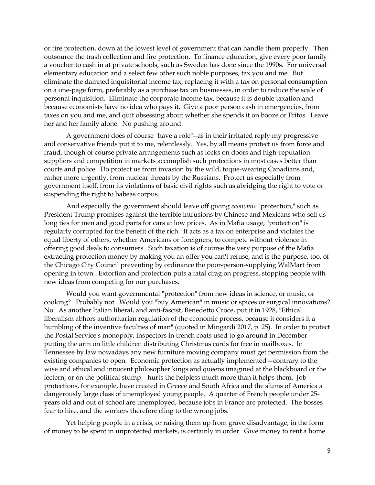or fire protection, down at the lowest level of government that can handle them properly. Then outsource the trash collection and fire protection. To finance education, give every poor family a voucher to cash in at private schools, such as Sweden has done since the 1990s. For universal elementary education and a select few other such noble purposes, tax you and me. But eliminate the damned inquisitorial income tax, replacing it with a tax on personal consumption on a one-page form, preferably as a purchase tax on businesses, in order to reduce the scale of personal inquisition. Eliminate the corporate income tax, because it is double taxation and because economists have no idea who pays it. Give a poor person cash in emergencies, from taxes on you and me, and quit obsessing about whether she spends it on booze or Fritos. Leave her and her family alone. No pushing around.

A government does of course "have a role"--as in their irritated reply my progressive and conservative friends put it to me, relentlessly. Yes, by all means protect us from force and fraud, though of course private arrangements such as locks on doors and high-reputation suppliers and competition in markets accomplish such protections in most cases better than courts and police. Do protect us from invasion by the wild, toque-wearing Canadians and, rather more urgently, from nuclear threats by the Russians. Protect us especially from government itself, from its violations of basic civil rights such as abridging the right to vote or suspending the right to habeas corpus.

And especially the government should leave off giving *economic* "protection," such as President Trump promises against the terrible intrusions by Chinese and Mexicans who sell us long ties for men and good parts for cars at low prices. As in Mafia usage, "protection" is regularly corrupted for the benefit of the rich. It acts as a tax on enterprise and violates the equal liberty of others, whether Americans or foreigners, to compete without violence in offering good deals to consumers. Such taxation is of course the very purpose of the Mafia extracting protection money by making you an offer you can't refuse, and is the purpose, too, of the Chicago City Council preventing by ordinance the poor-person-supplying WalMart from opening in town. Extortion and protection puts a fatal drag on progress, stopping people with new ideas from competing for our purchases.

Would you want governmental "protection" from new ideas in science, or music, or cooking? Probably not. Would you "buy American" in music or spices or surgical innovations? No. As another Italian liberal, and anti-fascist, Benedetto Croce, put it in 1928, "Ethical liberalism abhors authoritarian regulation of the economic process, because it considers it a humbling of the inventive faculties of man" (quoted in Mingardi 2017, p. 25). In order to protect the Postal Service's monopoly, inspectors in trench coats used to go around in December putting the arm on little children distributing Christmas cards for free in mailboxes. In Tennessee by law nowadays any new furniture moving company must get permission from the existing companies to open. Economic protection as actually implemented—contrary to the wise and ethical and innocent philosopher kings and queens imagined at the blackboard or the lectern, or on the political stump—hurts the helpless much more than it helps them. Job protections, for example, have created in Greece and South Africa and the slums of America a dangerously large class of unemployed young people. A quarter of French people under 25 years old and out of school are unemployed, because jobs in France are protected. The bosses fear to hire, and the workers therefore cling to the wrong jobs.

Yet helping people in a crisis, or raising them up from grave disadvantage, in the form of money to be spent in unprotected markets, is certainly in order. Give money to rent a home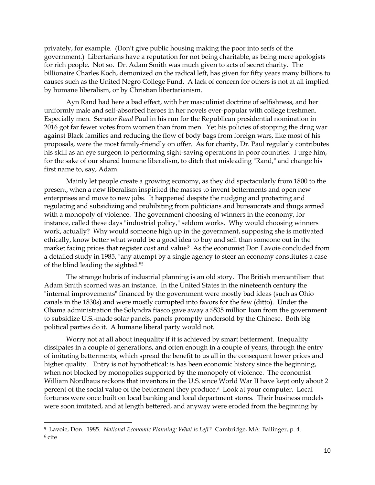privately, for example. (Don't give public housing making the poor into serfs of the government.) Libertarians have a reputation for not being charitable, as being mere apologists for rich people. Not so. Dr. Adam Smith was much given to acts of secret charity. The billionaire Charles Koch, demonized on the radical left, has given for fifty years many billions to causes such as the United Negro College Fund. A lack of concern for others is not at all implied by humane liberalism, or by Christian libertarianism.

Ayn Rand had here a bad effect, with her masculinist doctrine of selfishness, and her uniformly male and self-absorbed heroes in her novels ever-popular with college freshmen. Especially men. Senator *Rand* Paul in his run for the Republican presidential nomination in 2016 got far fewer votes from women than from men. Yet his policies of stopping the drug war against Black families and reducing the flow of body bags from foreign wars, like most of his proposals, were the most family-friendly on offer. As for charity, Dr. Paul regularly contributes his skill as an eye surgeon to performing sight-saving operations in poor countries. I urge him, for the sake of our shared humane liberalism, to ditch that misleading "Rand," and change his first name to, say, Adam.

Mainly let people create a growing economy, as they did spectacularly from 1800 to the present, when a new liberalism inspirited the masses to invent betterments and open new enterprises and move to new jobs. It happened despite the nudging and protecting and regulating and subsidizing and prohibiting from politicians and bureaucrats and thugs armed with a monopoly of violence. The government choosing of winners in the economy, for instance, called these days "industrial policy," seldom works. Why would choosing winners work, actually? Why would someone high up in the government, supposing she is motivated ethically, know better what would be a good idea to buy and sell than someone out in the market facing prices that register cost and value? As the economist Don Lavoie concluded from a detailed study in 1985, "any attempt by a single agency to steer an economy constitutes a case of the blind leading the sighted."<sup>5</sup>

The strange hubris of industrial planning is an old story. The British mercantilism that Adam Smith scorned was an instance. In the United States in the nineteenth century the "internal improvements" financed by the government were mostly bad ideas (such as Ohio canals in the 1830s) and were mostly corrupted into favors for the few (ditto). Under the Obama administration the Solyndra fiasco gave away a \$535 million loan from the government to subsidize U.S.-made solar panels, panels promptly undersold by the Chinese. Both big political parties do it. A humane liberal party would not.

Worry not at all about inequality if it is achieved by smart betterment. Inequality dissipates in a couple of generations, and often enough in a couple of years, through the entry of imitating betterments, which spread the benefit to us all in the consequent lower prices and higher quality. Entry is not hypothetical: is has been economic history since the beginning, when not blocked by monopolies supported by the monopoly of violence. The economist William Nordhaus reckons that inventors in the U.S. since World War II have kept only about 2 percent of the social value of the betterment they produce.<sup>6</sup> Look at your computer. Local fortunes were once built on local banking and local department stores. Their business models were soon imitated, and at length bettered, and anyway were eroded from the beginning by

 $\overline{a}$ 

<sup>5</sup> Lavoie, Don. 1985. *National Economic Planning: What is Left?* Cambridge, MA: Ballinger, p. 4.  $6$  cite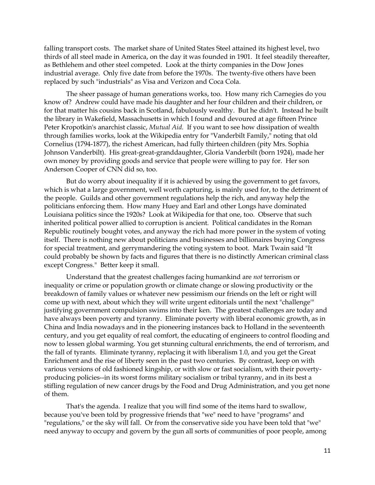falling transport costs. The market share of United States Steel attained its highest level, two thirds of all steel made in America, on the day it was founded in 1901. It feel steadily thereafter, as Bethlehem and other steel competed. Look at the thirty companies in the Dow Jones industrial average. Only five date from before the 1970s. The twenty-five others have been replaced by such "industrials" as Visa and Verizon and Coca Cola.

The sheer passage of human generations works, too. How many rich Carnegies do you know of? Andrew could have made his daughter and her four children and their children, or for that matter his cousins back in Scotland, fabulously wealthy. But he didn't. Instead he built the library in Wakefield, Massachusetts in which I found and devoured at age fifteen Prince Peter Kropotkin's anarchist classic, *Mutual Aid.* If you want to see how dissipation of wealth through families works, look at the Wikipedia entry for "Vanderbilt Family," noting that old Cornelius (1794-1877), the richest American, had fully thirteen children (pity Mrs. Sophia Johnson Vanderbilt). His great-great-granddaughter, Gloria Vanderbilt (born 1924), made her own money by providing goods and service that people were willing to pay for. Her son Anderson Cooper of CNN did so, too.

But do worry about inequality if it is achieved by using the government to get favors, which is what a large government, well worth capturing, is mainly used for, to the detriment of the people. Guilds and other government regulations help the rich, and anyway help the politicians enforcing them. How many Huey and Earl and other Longs have dominated Louisiana politics since the 1920s? Look at Wikipedia for that one, too. Observe that such inherited political power allied to corruption is ancient. Political candidates in the Roman Republic routinely bought votes, and anyway the rich had more power in the system of voting itself. There is nothing new about politicians and businesses and billionaires buying Congress for special treatment, and gerrymandering the voting system to boot. Mark Twain said "It could probably be shown by facts and figures that there is no distinctly American criminal class except Congress." Better keep it small.

Understand that the greatest challenges facing humankind are *not* terrorism or inequality or crime or population growth or climate change or slowing productivity or the breakdown of family values or whatever new pessimism our friends on the left or right will come up with next, about which they will write urgent editorials until the next "challenge'" justifying government compulsion swims into their ken. The greatest challenges are today and have always been poverty and tyranny. Eliminate poverty with liberal economic growth, as in China and India nowadays and in the pioneering instances back to Holland in the seventeenth century, and you get equality of real comfort, the educating of engineers to control flooding and now to lessen global warming. You get stunning cultural enrichments, the end of terrorism, and the fall of tyrants. Eliminate tyranny, replacing it with liberalism 1.0, and you get the Great Enrichment and the rise of liberty seen in the past two centuries. By contrast, keep on with various versions of old fashioned kingship, or with slow or fast socialism, with their povertyproducing policies--in its worst forms military socialism or tribal tyranny, and in its best a stifling regulation of new cancer drugs by the Food and Drug Administration, and you get none of them.

That's the agenda. I realize that you will find some of the items hard to swallow, because you've been told by progressive friends that "we" need to have "programs" and "regulations," or the sky will fall. Or from the conservative side you have been told that "we" need anyway to occupy and govern by the gun all sorts of communities of poor people, among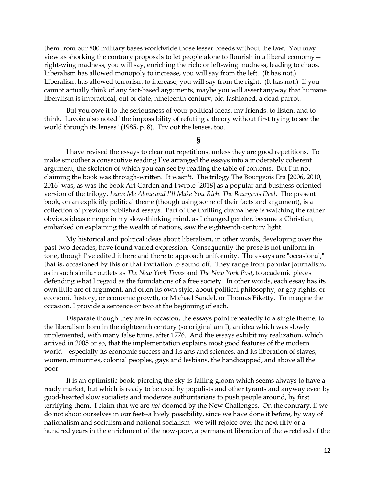them from our 800 military bases worldwide those lesser breeds without the law. You may view as shocking the contrary proposals to let people alone to flourish in a liberal economy right-wing madness, you will say, enriching the rich; or left-wing madness, leading to chaos. Liberalism has allowed monopoly to increase, you will say from the left. (It has not.) Liberalism has allowed terrorism to increase, you will say from the right. (It has not.) If you cannot actually think of any fact-based arguments, maybe you will assert anyway that humane liberalism is impractical, out of date, nineteenth-century, old-fashioned, a dead parrot.

But you owe it to the seriousness of your political ideas, my friends, to listen, and to think. Lavoie also noted "the impossibility of refuting a theory without first trying to see the world through its lenses" (1985, p. 8). Try out the lenses, too.

#### **§**

I have revised the essays to clear out repetitions, unless they are good repetitions. To make smoother a consecutive reading I've arranged the essays into a moderately coherent argument, the skeleton of which you can see by reading the table of contents. But I'm not claiming the book was through-written. It wasn't. The trilogy The Bourgeois Era [2006, 2010, 2016] was, as was the book Art Carden and I wrote [2018] as a popular and business-oriented version of the trilogy, *Leave Me Alone and I'll Make You Rich: The Bourgeois Deal*. The present book, on an explicitly political theme (though using some of their facts and argument), is a collection of previous published essays. Part of the thrilling drama here is watching the rather obvious ideas emerge in my slow-thinking mind, as I changed gender, became a Christian, embarked on explaining the wealth of nations, saw the eighteenth-century light.

My historical and political ideas about liberalism, in other words, developing over the past two decades, have found varied expression. Consequently the prose is not uniform in tone, though I've edited it here and there to approach uniformity. The essays are "occasional," that is, occasioned by this or that invitation to sound off. They range from popular journalism, as in such similar outlets as *The New York Times* and *The New York Post*, to academic pieces defending what I regard as the foundations of a free society. In other words, each essay has its own little arc of argument, and often its own style, about political philosophy, or gay rights, or economic history, or economic growth, or Michael Sandel, or Thomas Piketty. To imagine the occasion, I provide a sentence or two at the beginning of each.

Disparate though they are in occasion, the essays point repeatedly to a single theme, to the liberalism born in the eighteenth century (so original am I), an idea which was slowly implemented, with many false turns, after 1776. And the essays exhibit my realization, which arrived in 2005 or so, that the implementation explains most good features of the modern world—especially its economic success and its arts and sciences, and its liberation of slaves, women, minorities, colonial peoples, gays and lesbians, the handicapped, and above all the poor.

It is an optimistic book, piercing the sky-is-falling gloom which seems always to have a ready market, but which is ready to be used by populists and other tyrants and anyway even by good-hearted slow socialists and moderate authoritarians to push people around, by first terrifying them. I claim that we are *not* doomed by the New Challenges. On the contrary, if we do not shoot ourselves in our feet--a lively possibility, since we have done it before, by way of nationalism and socialism and national socialism--we will rejoice over the next fifty or a hundred years in the enrichment of the now-poor, a permanent liberation of the wretched of the